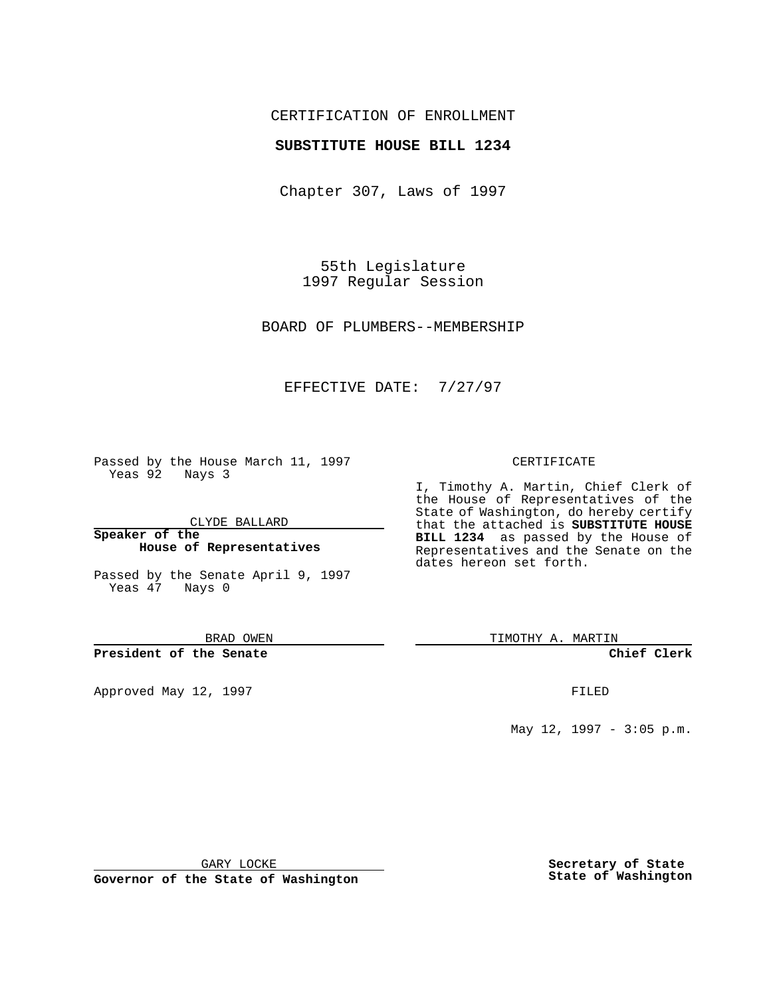## CERTIFICATION OF ENROLLMENT

### **SUBSTITUTE HOUSE BILL 1234**

Chapter 307, Laws of 1997

55th Legislature 1997 Regular Session

BOARD OF PLUMBERS--MEMBERSHIP

## EFFECTIVE DATE: 7/27/97

Passed by the House March 11, 1997 Yeas 92 Nays 3

CLYDE BALLARD

**Speaker of the House of Representatives**

Passed by the Senate April 9, 1997 Yeas 47 Nays 0

BRAD OWEN

**President of the Senate**

Approved May 12, 1997 **FILED** 

#### CERTIFICATE

I, Timothy A. Martin, Chief Clerk of the House of Representatives of the State of Washington, do hereby certify that the attached is **SUBSTITUTE HOUSE BILL 1234** as passed by the House of Representatives and the Senate on the dates hereon set forth.

TIMOTHY A. MARTIN

**Chief Clerk**

May 12, 1997 - 3:05 p.m.

GARY LOCKE

**Governor of the State of Washington**

**Secretary of State State of Washington**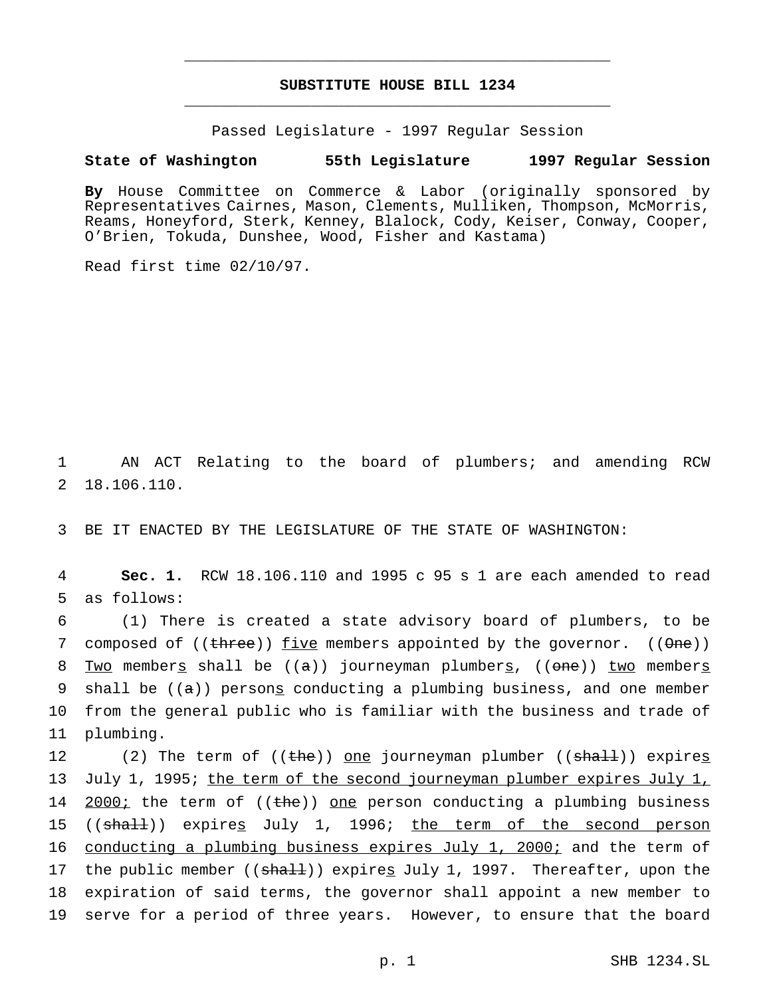# **SUBSTITUTE HOUSE BILL 1234** \_\_\_\_\_\_\_\_\_\_\_\_\_\_\_\_\_\_\_\_\_\_\_\_\_\_\_\_\_\_\_\_\_\_\_\_\_\_\_\_\_\_\_\_\_\_\_

\_\_\_\_\_\_\_\_\_\_\_\_\_\_\_\_\_\_\_\_\_\_\_\_\_\_\_\_\_\_\_\_\_\_\_\_\_\_\_\_\_\_\_\_\_\_\_

Passed Legislature - 1997 Regular Session

#### **State of Washington 55th Legislature 1997 Regular Session**

**By** House Committee on Commerce & Labor (originally sponsored by Representatives Cairnes, Mason, Clements, Mulliken, Thompson, McMorris, Reams, Honeyford, Sterk, Kenney, Blalock, Cody, Keiser, Conway, Cooper, O'Brien, Tokuda, Dunshee, Wood, Fisher and Kastama)

Read first time 02/10/97.

1 AN ACT Relating to the board of plumbers; and amending RCW 2 18.106.110.

3 BE IT ENACTED BY THE LEGISLATURE OF THE STATE OF WASHINGTON:

4 **Sec. 1.** RCW 18.106.110 and 1995 c 95 s 1 are each amended to read 5 as follows:

6 (1) There is created a state advisory board of plumbers, to be 7 composed of  $((three))$  five members appointed by the governor.  $((\theta ne))$ 8 Two members shall be  $((a))$  journeyman plumbers,  $((one))$  two members 9 shall be  $((a))$  persong conducting a plumbing business, and one member 10 from the general public who is familiar with the business and trade of 11 plumbing.

12 (2) The term of ((the)) one journeyman plumber ((shall)) expires 13 July 1, 1995; the term of the second journeyman plumber expires July 1, 14 2000; the term of ((the)) one person conducting a plumbing business 15 ((shall)) expires July 1, 1996; the term of the second person 16 conducting a plumbing business expires July 1, 2000; and the term of 17 the public member ((shall)) expires July 1, 1997. Thereafter, upon the 18 expiration of said terms, the governor shall appoint a new member to 19 serve for a period of three years. However, to ensure that the board